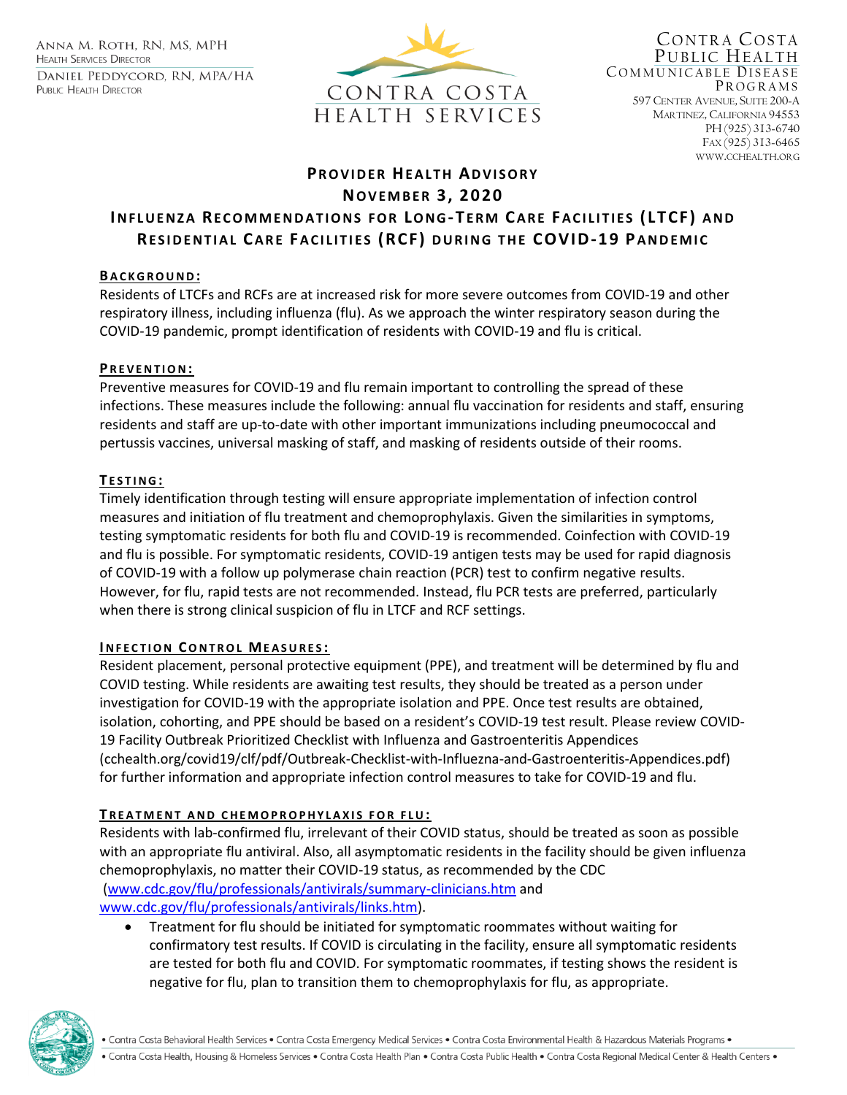ANNA M. ROTH, RN, MS, MPH **HEALTH SERVICES DIRECTOR** DANIEL PEDDYCORD, RN, MPA/HA PUBLIC HEALTH DIRECTOR



CONTRA COSTA PUBLIC HEALTH COMMUNICABLE DISEASE PROGRAMS 597 CENTER AVENUE, SUITE 200-A MARTINEZ, CALIFORNIA 94553 PH (925) 313-6740 FAX (925) 313-6465 WWW.CCHEALTH.ORG

# **PR O V I D E R HE A L T H AD V I S O R Y NO V E M B E R 3, 2020 INFLUENZA RECOMMENDATIONS FOR LONG-TERM CARE FACILITIES (LTCF) AND RESIDENTIAL CARE FACILITIES (RCF) DURING THE COVID-19 PANDEMIC**

### **B A C K G R O U N D :**

Residents of LTCFs and RCFs are at increased risk for more severe outcomes from COVID-19 and other respiratory illness, including influenza (flu). As we approach the winter respiratory season during the COVID-19 pandemic, prompt identification of residents with COVID-19 and flu is critical.

### **P R E V E N T I O N:**

Preventive measures for COVID-19 and flu remain important to controlling the spread of these infections. These measures include the following: annual flu vaccination for residents and staff, ensuring residents and staff are up-to-date with other important immunizations including pneumococcal and pertussis vaccines, universal masking of staff, and masking of residents outside of their rooms.

### **T E S T I N G :**

Timely identification through testing will ensure appropriate implementation of infection control measures and initiation of flu treatment and chemoprophylaxis. Given the similarities in symptoms, testing symptomatic residents for both flu and COVID-19 is recommended. Coinfection with COVID-19 and flu is possible. For symptomatic residents, COVID-19 antigen tests may be used for rapid diagnosis of COVID-19 with a follow up polymerase chain reaction (PCR) test to confirm negative results. However, for flu, rapid tests are not recommended. Instead, flu PCR tests are preferred, particularly when there is strong clinical suspicion of flu in LTCF and RCF settings.

#### **I N F E C T I O N CO N T R O L ME A S U R E S :**

Resident placement, personal protective equipment (PPE), and treatment will be determined by flu and COVID testing. While residents are awaiting test results, they should be treated as a person under investigation for COVID-19 with the appropriate isolation and PPE. Once test results are obtained, isolation, cohorting, and PPE should be based on a resident's COVID-19 test result. Please review COVID-19 Facility Outbreak Prioritized Checklist with Influenza and Gastroenteritis Appendices (cchealth.org/covid19/clf/pdf/Outbreak-Checklist-with-Influezna-and-Gastroenteritis-Appendices.pdf) for further information and appropriate infection control measures to take for COVID-19 and flu.

#### **TREATMENT AND CHEMOPROPHYLAXIS FOR FLU:**

Residents with lab-confirmed flu, irrelevant of their COVID status, should be treated as soon as possible with an appropriate flu antiviral. Also, all asymptomatic residents in the facility should be given influenza chemoprophylaxis, no matter their COVID-19 status, as recommended by the CDC [\(www.cdc.gov/flu/professionals/antivirals/summary-clinicians.htm](http://www.cdc.gov/flu/professionals/antivirals/summary-clinicians.htm) and [www.cdc.gov/flu/professionals/antivirals/links.htm\)](http://www.cdc.gov/flu/professionals/antivirals/links.htm).

• Treatment for flu should be initiated for symptomatic roommates without waiting for confirmatory test results. If COVID is circulating in the facility, ensure all symptomatic residents are tested for both flu and COVID. For symptomatic roommates, if testing shows the resident is negative for flu, plan to transition them to chemoprophylaxis for flu, as appropriate.